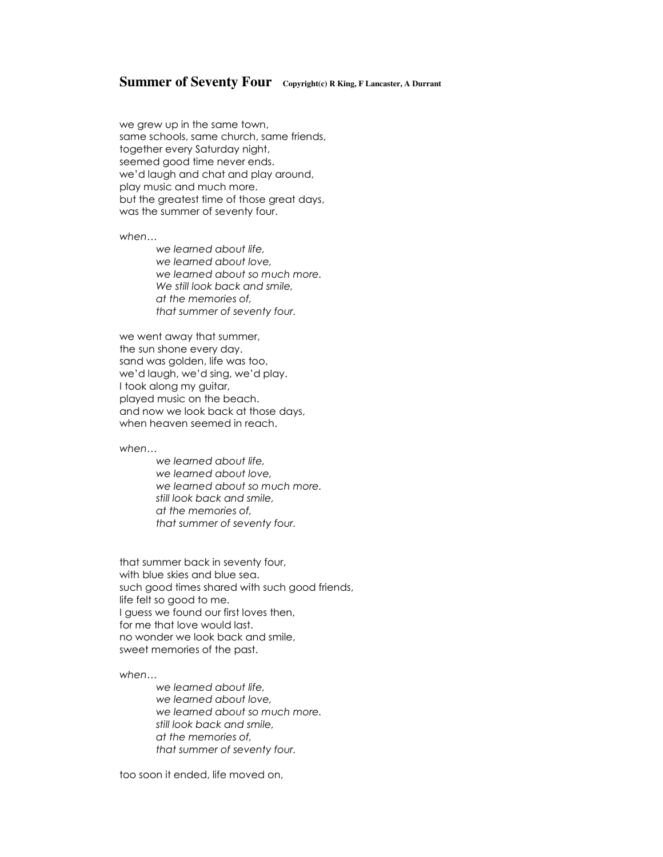## **Summer of Seventy Four Copyright(c) R King, F Lancaster, A Durrant**

we grew up in the same town, same schools, same church, same friends, together every Saturday night, seemed good time never ends. we'd laugh and chat and play around, play music and much more. but the greatest time of those great days, was the summer of seventy four.

*when…*

*we learned about life, we learned about love, we learned about so much more. We still look back and smile, at the memories of, that summer of seventy four.*

we went away that summer, the sun shone every day. sand was golden, life was too, we'd laugh, we'd sing, we'd play. I took along my guitar, played music on the beach. and now we look back at those days, when heaven seemed in reach.

*when…*

*we learned about life, we learned about love, we learned about so much more. still look back and smile, at the memories of, that summer of seventy four.*

that summer back in seventy four, with blue skies and blue sea. such good times shared with such good friends, life felt so good to me. I guess we found our first loves then, for me that love would last. no wonder we look back and smile, sweet memories of the past.

*when…*

*we learned about life, we learned about love, we learned about so much more. still look back and smile, at the memories of, that summer of seventy four.*

too soon it ended, life moved on,